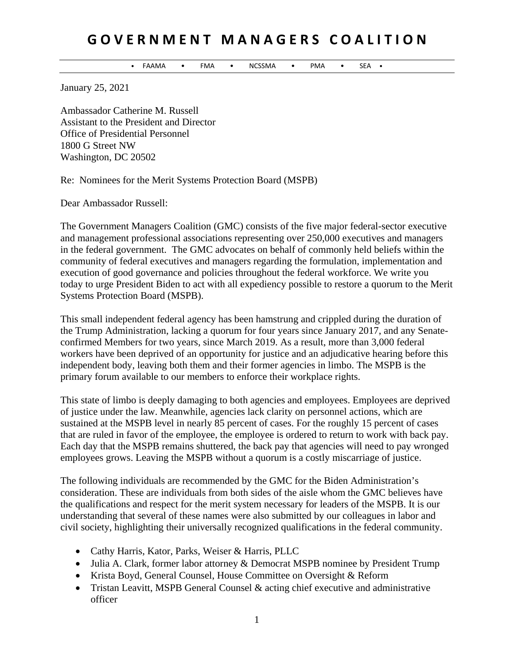## **G O V E R N M E N T M A N A G E R S C O A L I T I O N**

FAAMA • FMA • NCSSMA • PMA • SEA

January 25, 2021

Ambassador Catherine M. Russell Assistant to the President and Director Office of Presidential Personnel 1800 G Street NW Washington, DC 20502

Re: Nominees for the Merit Systems Protection Board (MSPB)

Dear Ambassador Russell:

The Government Managers Coalition (GMC) consists of the five major federal-sector executive and management professional associations representing over 250,000 executives and managers in the federal government. The GMC advocates on behalf of commonly held beliefs within the community of federal executives and managers regarding the formulation, implementation and execution of good governance and policies throughout the federal workforce. We write you today to urge President Biden to act with all expediency possible to restore a quorum to the Merit Systems Protection Board (MSPB).

This small independent federal agency has been hamstrung and crippled during the duration of the Trump Administration, lacking a quorum for four years since January 2017, and any Senateconfirmed Members for two years, since March 2019. As a result, more than 3,000 federal workers have been deprived of an opportunity for justice and an adjudicative hearing before this independent body, leaving both them and their former agencies in limbo. The MSPB is the primary forum available to our members to enforce their workplace rights.

This state of limbo is deeply damaging to both agencies and employees. Employees are deprived of justice under the law. Meanwhile, agencies lack clarity on personnel actions, which are sustained at the MSPB level in nearly 85 percent of cases. For the roughly 15 percent of cases that are ruled in favor of the employee, the employee is ordered to return to work with back pay. Each day that the MSPB remains shuttered, the back pay that agencies will need to pay wronged employees grows. Leaving the MSPB without a quorum is a costly miscarriage of justice.

The following individuals are recommended by the GMC for the Biden Administration's consideration. These are individuals from both sides of the aisle whom the GMC believes have the qualifications and respect for the merit system necessary for leaders of the MSPB. It is our understanding that several of these names were also submitted by our colleagues in labor and civil society, highlighting their universally recognized qualifications in the federal community.

- Cathy Harris, Kator, Parks, Weiser & Harris, PLLC
- Julia A. Clark, former labor attorney & Democrat MSPB nominee by President Trump
- Krista Boyd, General Counsel, House Committee on Oversight & Reform
- Tristan Leavitt, MSPB General Counsel & acting chief executive and administrative officer